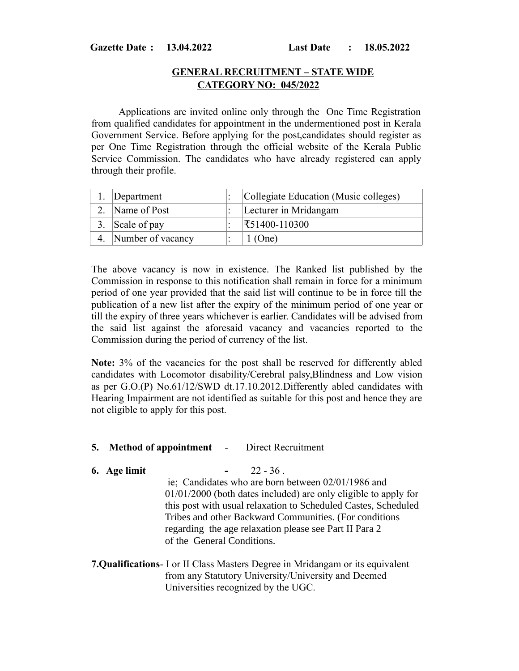#### **Gazette Date : 13.04.2022 Last Date : 18.05.2022**

## **GENERAL RECRUITMENT – STATE WIDE CATEGORY NO: 045/2022**

 Applications are invited online only through the One Time Registration from qualified candidates for appointment in the undermentioned post in Kerala Government Service. Before applying for the post,candidates should register as per One Time Registration through the official website of the Kerala Public Service Commission. The candidates who have already registered can apply through their profile.

|    | Department        | Collegiate Education (Music colleges) |
|----|-------------------|---------------------------------------|
|    | Name of Post      | Lecturer in Mridangam                 |
| 3. | Scale of pay      | $\mathbf{\bar{5}51400-110300}$        |
|    | Number of vacancy | $1$ (One)                             |

The above vacancy is now in existence. The Ranked list published by the Commission in response to this notification shall remain in force for a minimum period of one year provided that the said list will continue to be in force till the publication of a new list after the expiry of the minimum period of one year or till the expiry of three years whichever is earlier. Candidates will be advised from the said list against the aforesaid vacancy and vacancies reported to the Commission during the period of currency of the list.

**Note:** 3% of the vacancies for the post shall be reserved for differently abled candidates with Locomotor disability/Cerebral palsy,Blindness and Low vision as per G.O.(P) No.61/12/SWD dt.17.10.2012.Differently abled candidates with Hearing Impairment are not identified as suitable for this post and hence they are not eligible to apply for this post.

- **5. Method of appointment**  Direct Recruitment
- **6. Age limit -** 22 36 .

 ie; Candidates who are born between 02/01/1986 and 01/01/2000 (both dates included) are only eligible to apply for this post with usual relaxation to Scheduled Castes, Scheduled Tribes and other Backward Communities. (For conditions regarding the age relaxation please see Part II Para 2 of the General Conditions.

## **7.Qualifications**- I or II Class Masters Degree in Mridangam or its equivalent from any Statutory University/University and Deemed Universities recognized by the UGC.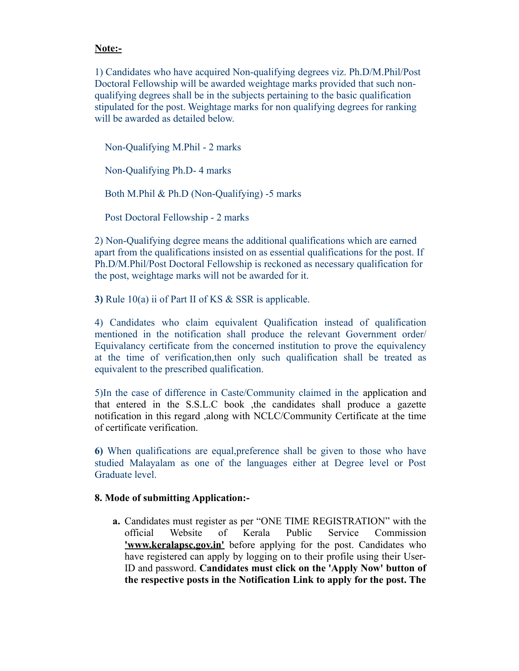### **Note:-**

1) Candidates who have acquired Non-qualifying degrees viz. Ph.D/M.Phil/Post Doctoral Fellowship will be awarded weightage marks provided that such nonqualifying degrees shall be in the subjects pertaining to the basic qualification stipulated for the post. Weightage marks for non qualifying degrees for ranking will be awarded as detailed below.

 Non-Qualifying M.Phil - 2 marks Non-Qualifying Ph.D- 4 marks Both M.Phil & Ph.D (Non-Qualifying) -5 marks Post Doctoral Fellowship - 2 marks

2) Non-Qualifying degree means the additional qualifications which are earned apart from the qualifications insisted on as essential qualifications for the post. If Ph.D/M.Phil/Post Doctoral Fellowship is reckoned as necessary qualification for the post, weightage marks will not be awarded for it.

**3)** Rule 10(a) ii of Part II of KS & SSR is applicable.

4) Candidates who claim equivalent Qualification instead of qualification mentioned in the notification shall produce the relevant Government order/ Equivalancy certificate from the concerned institution to prove the equivalency at the time of verification,then only such qualification shall be treated as equivalent to the prescribed qualification.

5)In the case of difference in Caste/Community claimed in the application and that entered in the S.S.L.C book ,the candidates shall produce a gazette notification in this regard ,along with NCLC/Community Certificate at the time of certificate verification.

**6)** When qualifications are equal,preference shall be given to those who have studied Malayalam as one of the languages either at Degree level or Post Graduate level.

#### **8. Mode of submitting Application:-**

**a.** Candidates must register as per "ONE TIME REGISTRATION" with the official Website of Kerala Public Service Commission **<u>'www.keralapsc.gov.in'</u>** before applying for the post. Candidates who have registered can apply by logging on to their profile using their User-ID and password. **Candidates must click on the 'Apply Now' button of the respective posts in the Notification Link to apply for the post. The**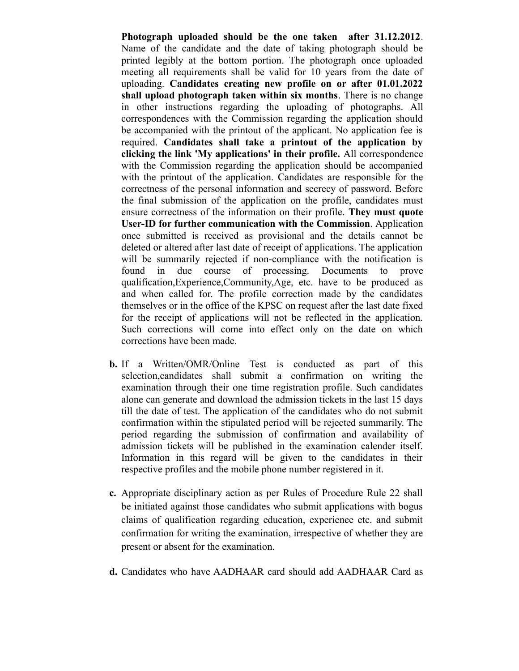**Photograph uploaded should be the one taken after 31.12.2012**. Name of the candidate and the date of taking photograph should be printed legibly at the bottom portion. The photograph once uploaded meeting all requirements shall be valid for 10 years from the date of uploading. **Candidates creating new profile on or after 01.01.2022 shall upload photograph taken within six months**. There is no change in other instructions regarding the uploading of photographs. All correspondences with the Commission regarding the application should be accompanied with the printout of the applicant. No application fee is required. **Candidates shall take a printout of the application by clicking the link 'My applications' in their profile.** All correspondence with the Commission regarding the application should be accompanied with the printout of the application. Candidates are responsible for the correctness of the personal information and secrecy of password. Before the final submission of the application on the profile, candidates must ensure correctness of the information on their profile. **They must quote User-ID for further communication with the Commission**. Application once submitted is received as provisional and the details cannot be deleted or altered after last date of receipt of applications. The application will be summarily rejected if non-compliance with the notification is found in due course of processing. Documents to prove qualification,Experience,Community,Age, etc. have to be produced as and when called for. The profile correction made by the candidates themselves or in the office of the KPSC on request after the last date fixed for the receipt of applications will not be reflected in the application. Such corrections will come into effect only on the date on which corrections have been made.

- **b.** If a Written/OMR/Online Test is conducted as part of this selection,candidates shall submit a confirmation on writing the examination through their one time registration profile. Such candidates alone can generate and download the admission tickets in the last 15 days till the date of test. The application of the candidates who do not submit confirmation within the stipulated period will be rejected summarily. The period regarding the submission of confirmation and availability of admission tickets will be published in the examination calender itself. Information in this regard will be given to the candidates in their respective profiles and the mobile phone number registered in it.
- **c.** Appropriate disciplinary action as per Rules of Procedure Rule 22 shall be initiated against those candidates who submit applications with bogus claims of qualification regarding education, experience etc. and submit confirmation for writing the examination, irrespective of whether they are present or absent for the examination.
- **d.** Candidates who have AADHAAR card should add AADHAAR Card as